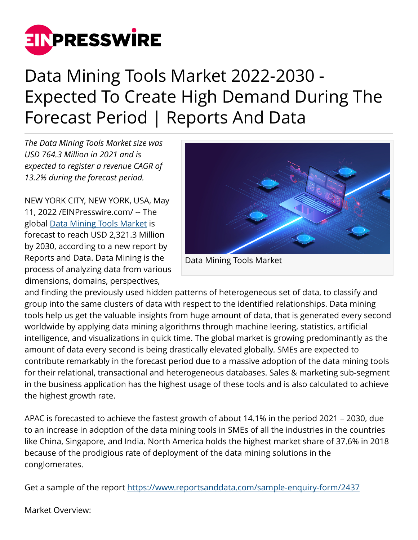

## Data Mining Tools Market 2022-2030 - Expected To Create High Demand During The Forecast Period | Reports And Data

*The Data Mining Tools Market size was USD 764.3 Million in 2021 and is expected to register a revenue CAGR of 13.2% during the forecast period.*

NEW YORK CITY, NEW YORK, USA, May 11, 2022 /[EINPresswire.com/](http://www.einpresswire.com) -- The global [Data Mining Tools Market](https://www.reportsanddata.com/report-detail/data-mining-tools-market) is forecast to reach USD 2,321.3 Million by 2030, according to a new report by Reports and Data. Data Mining is the process of analyzing data from various dimensions, domains, perspectives,



and finding the previously used hidden patterns of heterogeneous set of data, to classify and group into the same clusters of data with respect to the identified relationships. Data mining tools help us get the valuable insights from huge amount of data, that is generated every second worldwide by applying data mining algorithms through machine leering, statistics, artificial intelligence, and visualizations in quick time. The global market is growing predominantly as the amount of data every second is being drastically elevated globally. SMEs are expected to contribute remarkably in the forecast period due to a massive adoption of the data mining tools for their relational, transactional and heterogeneous databases. Sales & marketing sub-segment in the business application has the highest usage of these tools and is also calculated to achieve the highest growth rate.

APAC is forecasted to achieve the fastest growth of about 14.1% in the period 2021 – 2030, due to an increase in adoption of the data mining tools in SMEs of all the industries in the countries like China, Singapore, and India. North America holds the highest market share of 37.6% in 2018 because of the prodigious rate of deployment of the data mining solutions in the conglomerates.

Get a sample of the report<https://www.reportsanddata.com/sample-enquiry-form/2437>

Market Overview: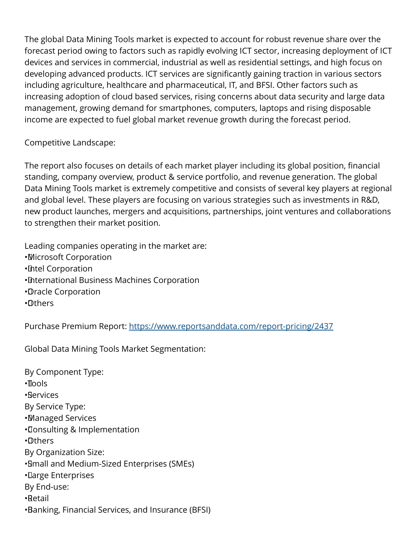The global Data Mining Tools market is expected to account for robust revenue share over the forecast period owing to factors such as rapidly evolving ICT sector, increasing deployment of ICT devices and services in commercial, industrial as well as residential settings, and high focus on developing advanced products. ICT services are significantly gaining traction in various sectors including agriculture, healthcare and pharmaceutical, IT, and BFSI. Other factors such as increasing adoption of cloud based services, rising concerns about data security and large data management, growing demand for smartphones, computers, laptops and rising disposable income are expected to fuel global market revenue growth during the forecast period.

## Competitive Landscape:

The report also focuses on details of each market player including its global position, financial standing, company overview, product & service portfolio, and revenue generation. The global Data Mining Tools market is extremely competitive and consists of several key players at regional and global level. These players are focusing on various strategies such as investments in R&D, new product launches, mergers and acquisitions, partnerships, joint ventures and collaborations to strengthen their market position.

Leading companies operating in the market are: • Microsoft Corporation • Intel Corporation • International Business Machines Corporation • Oracle Corporation • Others

Purchase Premium Report:<https://www.reportsanddata.com/report-pricing/2437>

Global Data Mining Tools Market Segmentation:

By Component Type: • Tools • Services By Service Type: • Managed Services • Consulting & Implementation • Others By Organization Size: • Small and Medium-Sized Enterprises (SMEs) • Large Enterprises By End-use: • Retail • Banking, Financial Services, and Insurance (BFSI)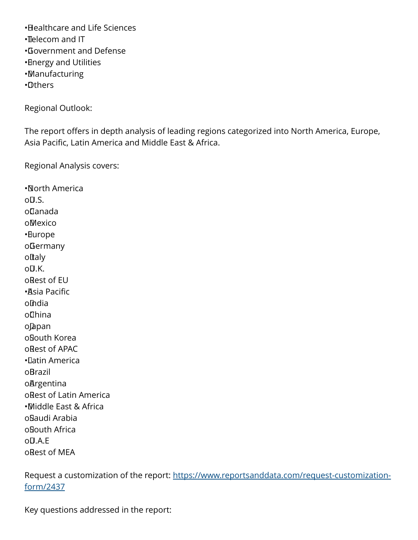• Healthcare and Life Sciences

- Telecom and IT
- • Government and Defense
- • Energy and Utilities
- • Manufacturing
- • Others

Regional Outlook:

The report offers in depth analysis of leading regions categorized into North America, Europe, Asia Pacific, Latin America and Middle East & Africa.

Regional Analysis covers:

• North America  $O(1.5)$ . o Canada o Mexico • Europe o Germany oftaly  $O(1.5K)$ o Rest of EU • Asia Pacific oIndia o China o Japan o South Korea o Rest of APAC • Latin America o Brazil **oArgentina** o Rest of Latin America • Middle East & Africa o Saudi Arabia o South Africa  $O(1.4.5)$ o Rest of MEA

Request a customization of the report: [https://www.reportsanddata.com/request-customization](https://www.reportsanddata.com/request-customization-form/2437)[form/2437](https://www.reportsanddata.com/request-customization-form/2437)

Key questions addressed in the report: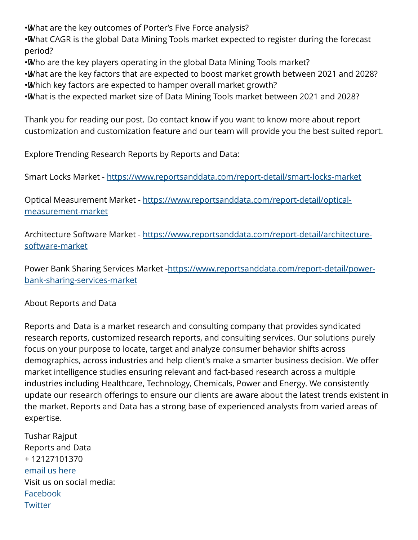• What are the key outcomes of Porter's Five Force analysis?

• What CAGR is the global Data Mining Tools market expected to register during the forecast period?

• Who are the key players operating in the global Data Mining Tools market?

• What are the key factors that are expected to boost market growth between 2021 and 2028? • Which key factors are expected to hamper overall market growth?

• What is the expected market size of Data Mining Tools market between 2021 and 2028?

Thank you for reading our post. Do contact know if you want to know more about report customization and customization feature and our team will provide you the best suited report.

Explore Trending Research Reports by Reports and Data:

Smart Locks Market -<https://www.reportsanddata.com/report-detail/smart-locks-market>

Optical Measurement Market - [https://www.reportsanddata.com/report-detail/optical](https://www.reportsanddata.com/report-detail/optical-measurement-market)[measurement-market](https://www.reportsanddata.com/report-detail/optical-measurement-market)

Architecture Software Market - [https://www.reportsanddata.com/report-detail/architecture](https://www.reportsanddata.com/report-detail/architecture-software-market)[software-market](https://www.reportsanddata.com/report-detail/architecture-software-market)

Power Bank Sharing Services Market -[https://www.reportsanddata.com/report-detail/power](https://www.reportsanddata.com/report-detail/power-bank-sharing-services-market)[bank-sharing-services-market](https://www.reportsanddata.com/report-detail/power-bank-sharing-services-market)

About Reports and Data

Reports and Data is a market research and consulting company that provides syndicated research reports, customized research reports, and consulting services. Our solutions purely focus on your purpose to locate, target and analyze consumer behavior shifts across demographics, across industries and help client's make a smarter business decision. We offer market intelligence studies ensuring relevant and fact-based research across a multiple industries including Healthcare, Technology, Chemicals, Power and Energy. We consistently update our research offerings to ensure our clients are aware about the latest trends existent in the market. Reports and Data has a strong base of experienced analysts from varied areas of expertise.

Tushar Rajput Reports and Data + 12127101370 [email us here](http://www.einpresswire.com/contact_author/3481412) Visit us on social media: [Facebook](https://www.facebook.com/reportsanddata) **[Twitter](https://twitter.com/reportsanddata)**